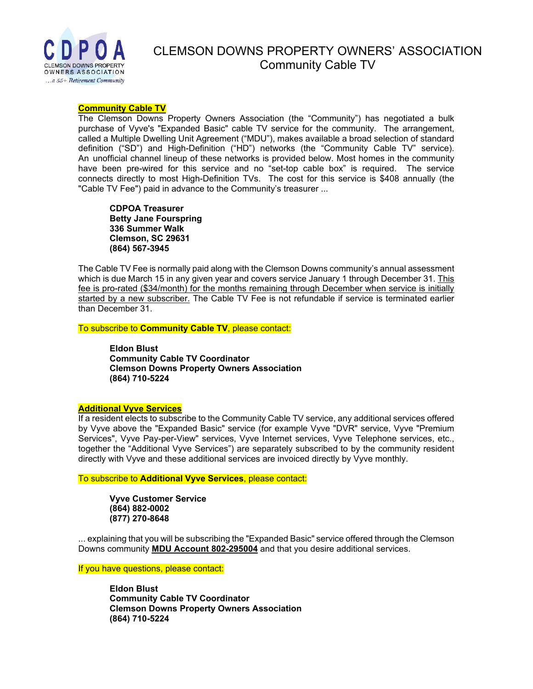

# CLEMSON DOWNS PROPERTY OWNERS' ASSOCIATION Community Cable TV

#### **Community Cable TV**

The Clemson Downs Property Owners Association (the "Community") has negotiated a bulk purchase of Vyve's "Expanded Basic" cable TV service for the community. The arrangement, called a Multiple Dwelling Unit Agreement ("MDU"), makes available a broad selection of standard definition ("SD") and High-Definition ("HD") networks (the "Community Cable TV" service). An unofficial channel lineup of these networks is provided below. Most homes in the community have been pre-wired for this service and no "set-top cable box" is required. The service connects directly to most High-Definition TVs. The cost for this service is \$408 annually (the "Cable TV Fee") paid in advance to the Community's treasurer ...

**CDPOA Treasurer Betty Jane Fourspring 336 Summer Walk Clemson, SC 29631 (864) 567-3945**

The Cable TV Fee is normally paid along with the Clemson Downs community's annual assessment which is due March 15 in any given year and covers service January 1 through December 31. This fee is pro-rated (\$34/month) for the months remaining through December when service is initially started by a new subscriber. The Cable TV Fee is not refundable if service is terminated earlier than December 31.

To subscribe to **Community Cable TV**, please contact:

**Eldon Blust Community Cable TV Coordinator Clemson Downs Property Owners Association (864) 710-5224**

#### **Additional Vyve Services**

If a resident elects to subscribe to the Community Cable TV service, any additional services offered by Vyve above the "Expanded Basic" service (for example Vyve "DVR" service, Vyve "Premium Services", Vyve Pay-per-View" services, Vyve Internet services, Vyve Telephone services, etc., together the "Additional Vyve Services") are separately subscribed to by the community resident directly with Vyve and these additional services are invoiced directly by Vyve monthly.

To subscribe to **Additional Vyve Services**, please contact:

**Vyve Customer Service (864) 882-0002 (877) 270-8648**

... explaining that you will be subscribing the "Expanded Basic" service offered through the Clemson Downs community **MDU Account 802-295004** and that you desire additional services.

If you have questions, please contact:

**Eldon Blust Community Cable TV Coordinator Clemson Downs Property Owners Association (864) 710-5224**